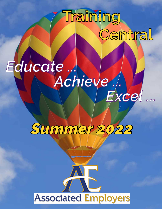# **Training Central**

### *Educate ... Achieve ... Excel ...*



## **Associated Employers**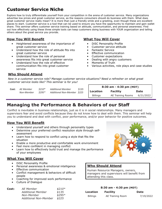#### **Customer Service Niche**

Explore how to truly differentiate yourself from your competition in the arena of customer service. Many organizations advertise low prices and great customer service, as the reasons consumers should do business with them. What does great customer service really mean? It is more than just a friendly smile and a greeting, even though these are excellent places to start. Customer service is a tool that can be used to ensure you have the opportunity to maintain and gain wallet share. This seminar offers customer service training based on attitude, communication, and personal awareness. Find out how effectively using these three simple tools can keep customers doing business with YOUR organization and telling others about the great service you provide.

#### **How You Will Benefit**

- Heightened awareness of the importance of great customer service
- Understand how the role of attitude fits into great customer service
- Understand how the role of personal awareness fits into great customer service
- Understand how the role of effective communication fits into great customer service

#### **What You Will Cover**

- DiSC Personality Profile
- Customer service attitude
- Fantastic Service
- Effective communication
- Customer expectations
- Dealing with angry customers
- Moments of Truth
- Various activities, role plays and case studies

#### **Who Should Attend**

*New in a customer service role? Manage customer service situations? Need a refresher on what great customer service looks like? This seminar is for you!* 

| Cost: | AE Member  | <i>\$210*</i> | <b>Additional Member</b>    | \$135 |
|-------|------------|---------------|-----------------------------|-------|
|       | Non-Member | $$295*$       | Additional Non-Member \$225 |       |

| 8:30 am - 4:30 pm (MDT)     |                   |             |  |
|-----------------------------|-------------------|-------------|--|
| Location<br><b>Facility</b> |                   | <b>Date</b> |  |
| <b>Billings</b>             | AE Training Rooms | 6/21/2022   |  |

#### **Managing the Performance & Behaviors of our Staff**

Conflict is inevitable in business relationships, just as it is in social relationships. Many managers and supervisors fear and avoid conflicts because they do not know how to deal with them. This seminar will help you to understand and deal with conflict, poor performance, and/or poor behavior for positive outcomes.

#### **How You Will Benefit**

- Understand yourself and others through personality types
- Determine your preferred conflict resolution style through selfassessment
- Learn how to respond to conflict using a style that fits the situation
- Enable a more productive and comfortable work environment
- Feel more confident in managing conflict
- Learn how to effectively build trust and manage the performance of your employees

#### **What You Will Cover**

- DiSC Personality Profile
- Personal awareness & emotional intelligence
- Effective communication
- Conflict management & behaviors of difficult people
- Coaching for improved work performance
- Culture of Dialogue

| Cost: | AE Member                    | $$210*$ |
|-------|------------------------------|---------|
|       | <b>Additional Member</b>     | \$135   |
|       | Non-Member                   | $$295*$ |
|       | <b>Additional Non-Member</b> | \$225   |



#### **Who Should Attend**

Human Resource Managers, owners, managers and supervisors will benefit from attending this class.

#### **8:30 am - 4:30 pm (MDT)**

| <b>Location</b> | <b>Facility</b>  | <b>Date</b> |
|-----------------|------------------|-------------|
| <b>Billings</b> | AE Training Room | 7/19/2022   |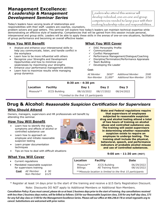#### **Management Excellence:**  *A Leadership & Management Development Seminar Series*

Today's leaders have varying levels of relationships and responsibilities with their staff. Leaders are coaches, counselors,

problem solvers and goal setters. This seminar will explore how today's leaders can maintain technical expertise while demonstrating an effective style of leadership. Competencies that will be gained from this session include personal, interpersonal and group skills. Leaders will be able to apply these skills in the arenas of one-on-one situations, facilitation of group performance and becoming an overall effective leader.

#### **How You Will Benefit**

- Analyze and enhance your interpersonal skills to help you communicate, listen, and handle conflict in the workplace
- Learn how to be more influential with others
- Recognize your Strengths and Development Opportunities and how to minimize your weaknesses by maximizing your strengths
- Enhance your performance management abilities
- Learn how to maximize results while managing group dynamics

#### **What You Will Cover**

- $\checkmark$  DiSC Personality Profile<br> $\checkmark$  Communication
- √ Communication<br>√ Conflict Manage
- 9 Conflict Management
- $\checkmark$  Performance Management/Dialogue/Coaching
- 9 Discipline/Termination/Performance Appraisals
- Team Building
- $\checkmark$  Developing the Leader

#### **Cost:**

| AE Member  | \$650*   | <b>Additional Member</b>    | <i>S500</i> |
|------------|----------|-----------------------------|-------------|
| Non-Member | \$1.000* | Additional Non-Member \$750 |             |

| 8:30 am - 4:30 pm                      |                      |            |            |            |
|----------------------------------------|----------------------|------------|------------|------------|
| Location                               | <b>Facility</b>      | Day 1      | Day 2      | Day 3      |
| Missoula**                             | <b>JCCS Building</b> | 08/10/2022 | 08/17/2022 | 08/24/2022 |
| **Limited to the first 15 participants |                      |            |            |            |

#### **Drug & Alcohol:** *Reasonable Suspicion Certification for Supervisors*

#### **Who Should Attend**

Owners, managers, supervisors and HR professionals will benefit by attending this seminar.

#### **How You Will Benefit**

- Learn how to identify the signs, symptoms and effects of alcohol or controlled substance use
- Learn how to approach an employee and initiate reasonable suspicion testing
- Learn proper documentation techniques
- Tips on how to deal with difficult situations

#### **What You Will Cover**

- Current regulations
- Mandated reasonable suspicion for supervisors training
	- **Cost** *AE Member \$ 90 Non-Member \$125*



**State and Federal regulations require that supervisors of employees subjected to reasonable suspicion drug and alcohol testing attend a total of two hours of training on alcohol abuse and controlled substance use. The training will assist supervisors in determining whether reasonable suspicion exists to require an employee to undergo testing. The training shall include the physical, behavioral, speech, and performance indicators of probable alcohol misuse and use of controlled substances.**

#### **9:00 am - 11:30 am (MDT)**

| Location                                                    | <b>Facility</b>                          | <b>Date</b>              |  |  |
|-------------------------------------------------------------|------------------------------------------|--------------------------|--|--|
| Missoula**<br><b>Billings</b>                               | <b>JCCS Building</b><br>AE Training Room | 06/29/2022<br>08/16/2022 |  |  |
| **Missoula location is limited to the first 15 participants |                                          |                          |  |  |

\* Register at least 14 days prior to the start of the training and receive a \$15 Early Registration Discount.

Note: Discounts DO NOT apply to Additional Members or Additional Non-Members.

*Cancellation Policy: If you must cancel, please do so at least 2 business days prior to the start of training. Any cancellations received with less than 2 business days notice, will be billed as follows: \$30 for our Reasonable Suspicion class, \$50 for any half-day class, \$75 for any full-day class or \$100 for the Management Excellence Series. Please call our office at 406.248.6178 or email reg@aehr.org to cancel. Substitutions are welcomed with prior notice.*



eaders who attend this seminar will develop individual, one-on-one and group competencies needed to keep pace with their evolving leadership roles and responsibilities.